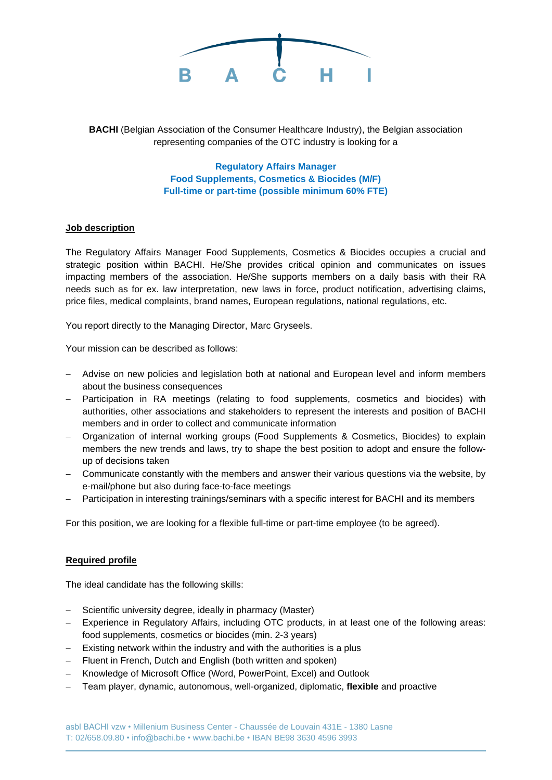

**BACHI** (Belgian Association of the Consumer Healthcare Industry), the Belgian association representing companies of the OTC industry is looking for a

> **Regulatory Affairs Manager Food Supplements, Cosmetics & Biocides (M/F) Full-time or part-time (possible minimum 60% FTE)**

## **Job description**

The Regulatory Affairs Manager Food Supplements, Cosmetics & Biocides occupies a crucial and strategic position within BACHI. He/She provides critical opinion and communicates on issues impacting members of the association. He/She supports members on a daily basis with their RA needs such as for ex. law interpretation, new laws in force, product notification, advertising claims, price files, medical complaints, brand names, European regulations, national regulations, etc.

You report directly to the Managing Director, Marc Gryseels.

Your mission can be described as follows:

- − Advise on new policies and legislation both at national and European level and inform members about the business consequences
- − Participation in RA meetings (relating to food supplements, cosmetics and biocides) with authorities, other associations and stakeholders to represent the interests and position of BACHI members and in order to collect and communicate information
- − Organization of internal working groups (Food Supplements & Cosmetics, Biocides) to explain members the new trends and laws, try to shape the best position to adopt and ensure the followup of decisions taken
- − Communicate constantly with the members and answer their various questions via the website, by e-mail/phone but also during face-to-face meetings
- Participation in interesting trainings/seminars with a specific interest for BACHI and its members

For this position, we are looking for a flexible full-time or part-time employee (to be agreed).

## **Required profile**

The ideal candidate has the following skills:

- − Scientific university degree, ideally in pharmacy (Master)
- − Experience in Regulatory Affairs, including OTC products, in at least one of the following areas: food supplements, cosmetics or biocides (min. 2-3 years)
- − Existing network within the industry and with the authorities is a plus
- − Fluent in French, Dutch and English (both written and spoken)
- − Knowledge of Microsoft Office (Word, PowerPoint, Excel) and Outlook
- − Team player, dynamic, autonomous, well-organized, diplomatic, **flexible** and proactive